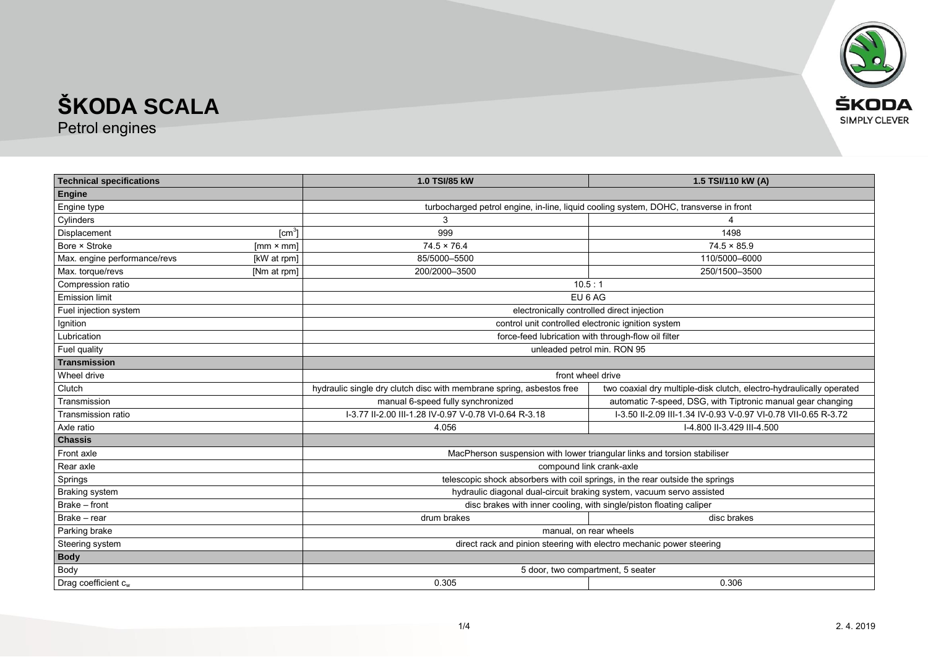

Petrol engines

| <b>Technical specifications</b> |                  | 1.0 TSI/85 kW                                                                         | 1.5 TSI/110 kW (A)                                                   |
|---------------------------------|------------------|---------------------------------------------------------------------------------------|----------------------------------------------------------------------|
| <b>Engine</b>                   |                  |                                                                                       |                                                                      |
| Engine type                     |                  | turbocharged petrol engine, in-line, liquid cooling system, DOHC, transverse in front |                                                                      |
| Cylinders                       |                  | 3                                                                                     |                                                                      |
| Displacement                    | [cm $^3$ ]       | 999                                                                                   | 1498                                                                 |
| Bore × Stroke                   | $[mm \times mm]$ | $74.5 \times 76.4$                                                                    | $74.5 \times 85.9$                                                   |
| Max. engine performance/revs    | [kW at rpm]      | 85/5000-5500                                                                          | 110/5000-6000                                                        |
| Max. torque/revs                | [Nm at rpm]      | 200/2000-3500                                                                         | 250/1500-3500                                                        |
| Compression ratio               |                  | 10.5:1                                                                                |                                                                      |
| <b>Emission limit</b>           |                  | EU 6 AG                                                                               |                                                                      |
| Fuel injection system           |                  | electronically controlled direct injection                                            |                                                                      |
| Ignition                        |                  | control unit controlled electronic ignition system                                    |                                                                      |
| Lubrication                     |                  | force-feed lubrication with through-flow oil filter                                   |                                                                      |
| Fuel quality                    |                  | unleaded petrol min. RON 95                                                           |                                                                      |
| <b>Transmission</b>             |                  |                                                                                       |                                                                      |
| Wheel drive                     |                  | front wheel drive                                                                     |                                                                      |
| Clutch                          |                  | hydraulic single dry clutch disc with membrane spring, asbestos free                  | two coaxial dry multiple-disk clutch, electro-hydraulically operated |
| Transmission                    |                  | manual 6-speed fully synchronized                                                     | automatic 7-speed, DSG, with Tiptronic manual gear changing          |
| Transmission ratio              |                  | I-3.77 II-2.00 III-1.28 IV-0.97 V-0.78 VI-0.64 R-3.18                                 | I-3.50 II-2.09 III-1.34 IV-0.93 V-0.97 VI-0.78 VII-0.65 R-3.72       |
| Axle ratio                      |                  | 4.056                                                                                 | I-4.800 II-3.429 III-4.500                                           |
| <b>Chassis</b>                  |                  |                                                                                       |                                                                      |
| Front axle                      |                  | MacPherson suspension with lower triangular links and torsion stabiliser              |                                                                      |
| Rear axle                       |                  | compound link crank-axle                                                              |                                                                      |
| Springs                         |                  | telescopic shock absorbers with coil springs, in the rear outside the springs         |                                                                      |
| <b>Braking system</b>           |                  | hydraulic diagonal dual-circuit braking system, vacuum servo assisted                 |                                                                      |
| Brake - front                   |                  | disc brakes with inner cooling, with single/piston floating caliper                   |                                                                      |
| Brake - rear                    |                  | drum brakes                                                                           | disc brakes                                                          |
| Parking brake                   |                  | manual, on rear wheels                                                                |                                                                      |
| Steering system                 |                  | direct rack and pinion steering with electro mechanic power steering                  |                                                                      |
| <b>Body</b>                     |                  |                                                                                       |                                                                      |
| Body                            |                  | 5 door, two compartment, 5 seater                                                     |                                                                      |
| Drag coefficient $c_w$          |                  | 0.305                                                                                 | 0.306                                                                |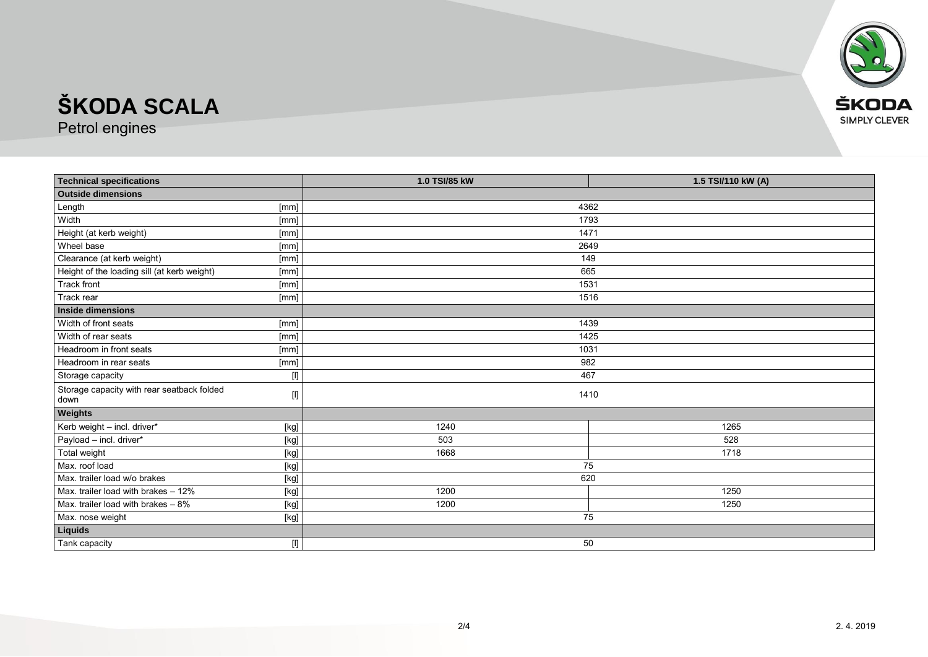

Petrol engines

| <b>Technical specifications</b>             |                                                                                                                                                                                                                                                                                                                                                                                                                                                                                                                                                                                                                                                                    | 1.0 TSI/85 kW | 1.5 TSI/110 kW (A) |  |
|---------------------------------------------|--------------------------------------------------------------------------------------------------------------------------------------------------------------------------------------------------------------------------------------------------------------------------------------------------------------------------------------------------------------------------------------------------------------------------------------------------------------------------------------------------------------------------------------------------------------------------------------------------------------------------------------------------------------------|---------------|--------------------|--|
| <b>Outside dimensions</b>                   |                                                                                                                                                                                                                                                                                                                                                                                                                                                                                                                                                                                                                                                                    |               |                    |  |
| Length                                      | [mm]                                                                                                                                                                                                                                                                                                                                                                                                                                                                                                                                                                                                                                                               | 4362          |                    |  |
| Width                                       | [mm]                                                                                                                                                                                                                                                                                                                                                                                                                                                                                                                                                                                                                                                               | 1793          |                    |  |
| Height (at kerb weight)                     | [mm]                                                                                                                                                                                                                                                                                                                                                                                                                                                                                                                                                                                                                                                               | 1471          |                    |  |
| Wheel base                                  | [mm]                                                                                                                                                                                                                                                                                                                                                                                                                                                                                                                                                                                                                                                               | 2649          |                    |  |
| Clearance (at kerb weight)                  | [mm]                                                                                                                                                                                                                                                                                                                                                                                                                                                                                                                                                                                                                                                               | 149           |                    |  |
| Height of the loading sill (at kerb weight) | [mm]                                                                                                                                                                                                                                                                                                                                                                                                                                                                                                                                                                                                                                                               | 665           |                    |  |
| <b>Track front</b>                          | [mm]                                                                                                                                                                                                                                                                                                                                                                                                                                                                                                                                                                                                                                                               | 1531          |                    |  |
| Track rear                                  | [mm]                                                                                                                                                                                                                                                                                                                                                                                                                                                                                                                                                                                                                                                               | 1516          |                    |  |
| <b>Inside dimensions</b>                    |                                                                                                                                                                                                                                                                                                                                                                                                                                                                                                                                                                                                                                                                    |               |                    |  |
| Width of front seats                        | [mm]                                                                                                                                                                                                                                                                                                                                                                                                                                                                                                                                                                                                                                                               | 1439          |                    |  |
| Width of rear seats                         | [mm]                                                                                                                                                                                                                                                                                                                                                                                                                                                                                                                                                                                                                                                               | 1425          |                    |  |
| Headroom in front seats                     | [mm]                                                                                                                                                                                                                                                                                                                                                                                                                                                                                                                                                                                                                                                               | 1031          |                    |  |
| Headroom in rear seats                      | [mm]                                                                                                                                                                                                                                                                                                                                                                                                                                                                                                                                                                                                                                                               | 982           |                    |  |
| Storage capacity                            | $[] \centering \includegraphics[width=0.47\textwidth]{figs/fig_1002-1000}}% \caption{The 3D (black) and the 4D (black) are the same as in Fig. \ref{fig:1000}}% \label{fig:1000}}% \begin{minipage}[t]{0.47\textwidth} \includegraphics[width=0.47\textwidth]{figs/fig_1000}}% \label{fig:1000}}% \end{minipage} \caption{The 3D (black) and the 4D (black) are the same as in Fig. \ref{fig:1000}}% \label{fig:1000}}% \begin{minipage}[t]{0.47\textwidth} \includegraphics[width=0.47\textwidth]{fig$                                                                                                                                                            | 467           |                    |  |
| Storage capacity with rear seatback folded  | $[] \centering \includegraphics[width=0.47\textwidth]{Figures/PD1.png} \caption{The number of different values of $y$ and $y$ and $z$ are shown in Fig. \ref{fig:13}. } \label{fig:13}$                                                                                                                                                                                                                                                                                                                                                                                                                                                                            | 1410          |                    |  |
| down                                        |                                                                                                                                                                                                                                                                                                                                                                                                                                                                                                                                                                                                                                                                    |               |                    |  |
| Weights                                     |                                                                                                                                                                                                                                                                                                                                                                                                                                                                                                                                                                                                                                                                    |               |                    |  |
| Kerb weight - incl. driver*                 | $[kg] % \begin{center} % \includegraphics[width=\linewidth]{imagesSupplemental_3.png} % \end{center} % \caption { % \textit{DefNet} of the \textit{DefNet} dataset. % Note that the \textit{DefNet} and \textit{DefNet} dataset. % Note that the \textit{DefNet} and \textit{DefNet} dataset. % Note that the \textit{DefNet} and \textit{DefNet} dataset. % Note that the \textit{DefNet} and \textit{DefNet} dataset. % Note that the \textit{DefNet} and \textit{DefNet} dataset. % Note that the \textit{DefNet} and \textit{DefNet} dataset. % Note that the \textit{DefNet} and \textit{DefNet} dataset. % Note that the \textit{DefNet} and \textit{DefNet$ | 1240          | 1265               |  |
| Payload - incl. driver*                     | [kg]                                                                                                                                                                                                                                                                                                                                                                                                                                                                                                                                                                                                                                                               | 503           | 528                |  |
| Total weight                                | [kg]                                                                                                                                                                                                                                                                                                                                                                                                                                                                                                                                                                                                                                                               | 1668          | 1718               |  |
| Max. roof load                              | $[kg] % \begin{center} % \includegraphics[width=\linewidth]{imagesSupplemental_3.png} % \end{center} % \caption { % \textit{DefNet} of the \textit{DefNet} dataset. % Note that the \textit{DefNet} and \textit{DefNet} dataset. % Note that the \textit{DefNet} and \textit{DefNet} dataset. % Note that the \textit{DefNet} and \textit{DefNet} dataset. % Note that the \textit{DefNet} and \textit{DefNet} dataset. % Note that the \textit{DefNet} and \textit{DefNet} dataset. % Note that the \textit{DefNet} and \textit{DefNet} dataset. % Note that the \textit{DefNet} and \textit{DefNet} dataset. % Note that the \textit{DefNet} and \textit{DefNet$ | 75            |                    |  |
| Max. trailer load w/o brakes                | [kg]                                                                                                                                                                                                                                                                                                                                                                                                                                                                                                                                                                                                                                                               | 620           |                    |  |
| Max. trailer load with brakes - 12%         | $[kg] % \begin{center} % \includegraphics[width=\linewidth]{imagesSupplemental_3.png} % \end{center} % \caption { % \textit{DefNet} of the \textit{DefNet} dataset. % Note that the \textit{DefNet} and \textit{DefNet} dataset. % Note that the \textit{DefNet} and \textit{DefNet} dataset. % Note that the \textit{DefNet} and \textit{DefNet} dataset. % Note that the \textit{DefNet} and \textit{DefNet} dataset. % Note that the \textit{DefNet} and \textit{DefNet} dataset. % Note that the \textit{DefNet} and \textit{DefNet} dataset. % Note that the \textit{DefNet} and \textit{DefNet} dataset. % Note that the \textit{DefNet} and \textit{DefNet$ | 1200          | 1250               |  |
| Max. trailer load with brakes $-8\%$        | $[kg] % \begin{center} % \includegraphics[width=\linewidth]{imagesSupplemental_3.png} % \end{center} % \caption { % \textit{DefNet} of the \textit{DefNet} dataset. % Note that the \textit{DefNet} and \textit{DefNet} dataset. % Note that the \textit{DefNet} and \textit{DefNet} dataset. % Note that the \textit{DefNet} and \textit{DefNet} dataset. % Note that the \textit{DefNet} and \textit{DefNet} dataset. % Note that the \textit{DefNet} and \textit{DefNet} dataset. % Note that the \textit{DefNet} and \textit{DefNet} dataset. % Note that the \textit{DefNet} and \textit{DefNet} dataset. % Note that the \textit{DefNet} and \textit{DefNet$ | 1200          | 1250               |  |
| Max. nose weight                            | [kg]                                                                                                                                                                                                                                                                                                                                                                                                                                                                                                                                                                                                                                                               | 75            |                    |  |
| Liquids                                     |                                                                                                                                                                                                                                                                                                                                                                                                                                                                                                                                                                                                                                                                    |               |                    |  |
| Tank capacity                               | $[] \centering \includegraphics[width=0.47\textwidth]{figs/fig_14-1000}} \caption{The 3D (black) model for the 3D (black) model. The 3D (black) model is shown in Fig.~\ref{fig:13}.} \label{fig:13}$                                                                                                                                                                                                                                                                                                                                                                                                                                                              | 50            |                    |  |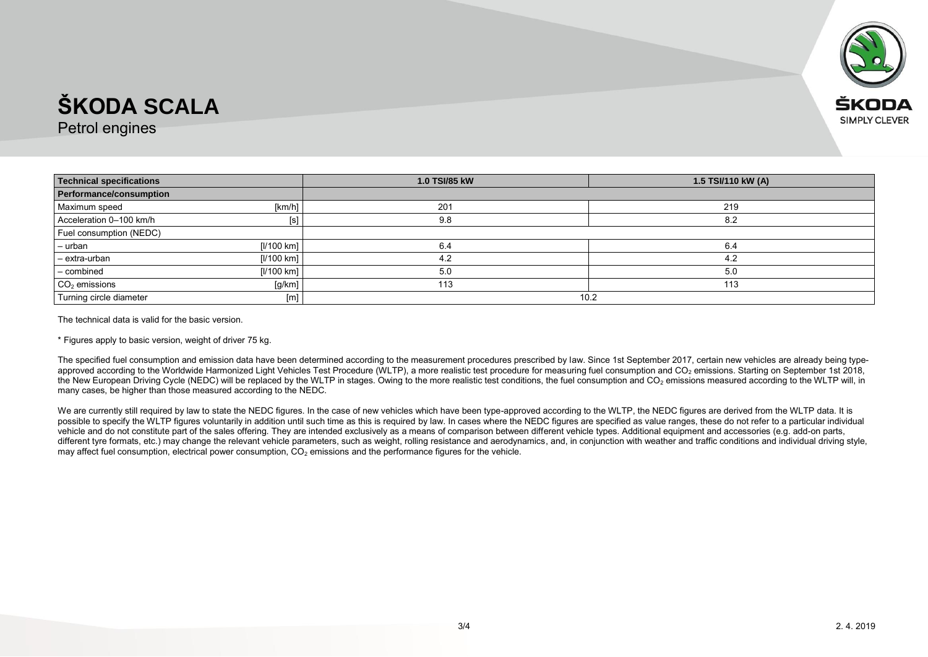

Petrol engines

| <b>Technical specifications</b> | 1.0 TSI/85 kW | 1.5 TSI/110 kW (A) |
|---------------------------------|---------------|--------------------|
| Performance/consumption         |               |                    |
| Maximum speed<br>[km/h]         | 201           | 219                |
| Acceleration 0-100 km/h         | 9.8           | 8.2                |
| Fuel consumption (NEDC)         |               |                    |
| [1/100 km]<br>- urban           | 6.4           | 6.4                |
| - extra-urban<br>[1/100 km]     | 4.2           | 4.2                |
| - combined<br>[1/100 km]        | 5.0           | 5.0                |
| $CO2$ emissions<br>[g/km]       | 113           | 113                |
| Turning circle diameter<br>[m]  | 10.2          |                    |

The technical data is valid for the basic version.

\* Figures apply to basic version, weight of driver 75 kg.

The specified fuel consumption and emission data have been determined according to the measurement procedures prescribed by law. Since 1st September 2017, certain new vehicles are already being typeapproved according to the Worldwide Harmonized Light Vehicles Test Procedure (WLTP), a more realistic test procedure for measuring fuel consumption and CO<sub>2</sub> emissions. Starting on September 1st 2018, the New European Driving Cycle (NEDC) will be replaced by the WLTP in stages. Owing to the more realistic test conditions, the fuel consumption and CO<sub>2</sub> emissions measured according to the WLTP will, in many cases, be higher than those measured according to the NEDC.

We are currently still required by law to state the NEDC figures. In the case of new vehicles which have been type-approved according to the WLTP, the NEDC figures are derived from the WLTP data. It is possible to specify the WLTP figures voluntarily in addition until such time as this is required by law. In cases where the NEDC figures are specified as value ranges, these do not refer to a particular individual vehicle and do not constitute part of the sales offering. They are intended exclusively as a means of comparison between different vehicle types. Additional equipment and accessories (e.g. add-on parts, different tyre formats, etc.) may change the relevant vehicle parameters, such as weight, rolling resistance and aerodynamics, and, in conjunction with weather and traffic conditions and individual driving style, may affect fuel consumption, electrical power consumption,  $CO<sub>2</sub>$  emissions and the performance figures for the vehicle.